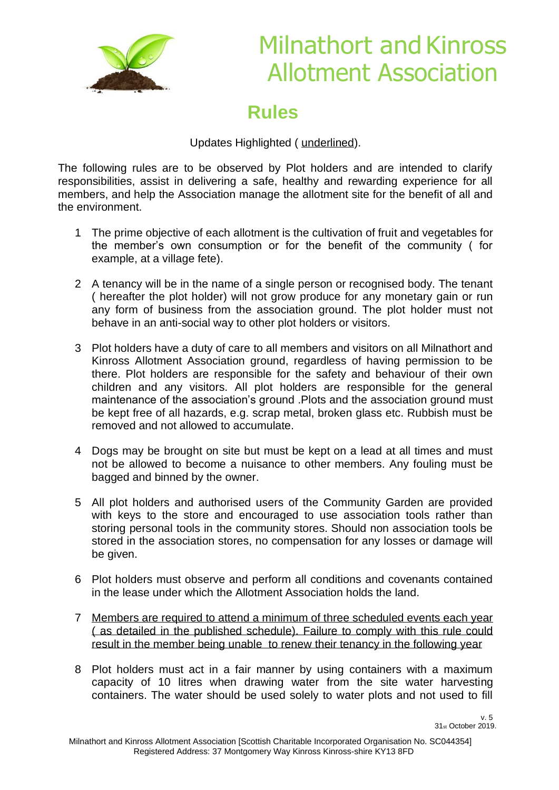

# Milnathort and Kinross Allotment Association

### **Rules**

Updates Highlighted ( underlined).

The following rules are to be observed by Plot holders and are intended to clarify responsibilities, assist in delivering a safe, healthy and rewarding experience for all members, and help the Association manage the allotment site for the benefit of all and the environment.

- 1 The prime objective of each allotment is the cultivation of fruit and vegetables for the member's own consumption or for the benefit of the community ( for example, at a village fete).
- 2 A tenancy will be in the name of a single person or recognised body. The tenant ( hereafter the plot holder) will not grow produce for any monetary gain or run any form of business from the association ground. The plot holder must not behave in an anti-social way to other plot holders or visitors.
- 3 Plot holders have a duty of care to all members and visitors on all Milnathort and Kinross Allotment Association ground, regardless of having permission to be there. Plot holders are responsible for the safety and behaviour of their own children and any visitors. All plot holders are responsible for the general maintenance of the association's ground .Plots and the association ground must be kept free of all hazards, e.g. scrap metal, broken glass etc. Rubbish must be removed and not allowed to accumulate.
- 4 Dogs may be brought on site but must be kept on a lead at all times and must not be allowed to become a nuisance to other members. Any fouling must be bagged and binned by the owner.
- 5 All plot holders and authorised users of the Community Garden are provided with keys to the store and encouraged to use association tools rather than storing personal tools in the community stores. Should non association tools be stored in the association stores, no compensation for any losses or damage will be given.
- 6 Plot holders must observe and perform all conditions and covenants contained in the lease under which the Allotment Association holds the land.
- 7 Members are required to attend a minimum of three scheduled events each year ( as detailed in the published schedule). Failure to comply with this rule could result in the member being unable to renew their tenancy in the following year
- 8 Plot holders must act in a fair manner by using containers with a maximum capacity of 10 litres when drawing water from the site water harvesting containers. The water should be used solely to water plots and not used to fill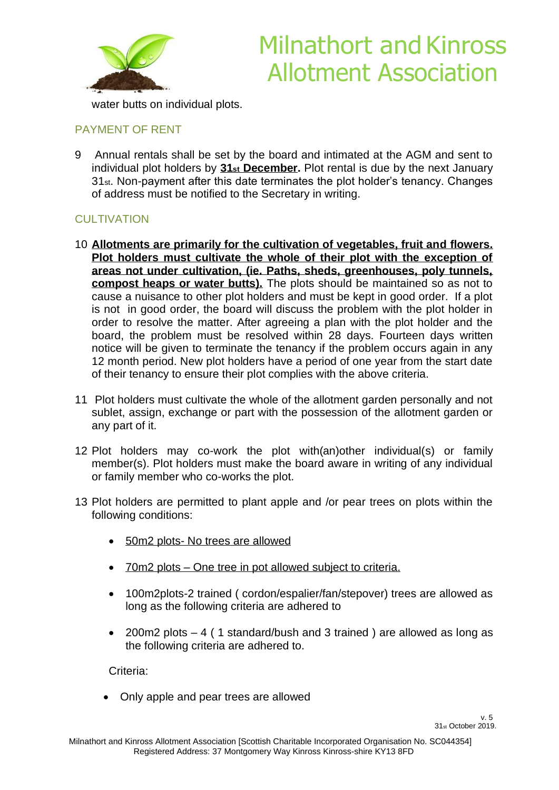

# Milnathort and Kinross Allotment Association

water butts on individual plots.

#### PAYMENT OF RENT

9 Annual rentals shall be set by the board and intimated at the AGM and sent to individual plot holders by **31st December.** Plot rental is due by the next January 31st. Non-payment after this date terminates the plot holder's tenancy. Changes of address must be notified to the Secretary in writing.

### **CULTIVATION**

- 10 **Allotments are primarily for the cultivation of vegetables, fruit and flowers. Plot holders must cultivate the whole of their plot with the exception of areas not under cultivation, (ie. Paths, sheds, greenhouses, poly tunnels, compost heaps or water butts).** The plots should be maintained so as not to cause a nuisance to other plot holders and must be kept in good order. If a plot is not in good order, the board will discuss the problem with the plot holder in order to resolve the matter. After agreeing a plan with the plot holder and the board, the problem must be resolved within 28 days. Fourteen days written notice will be given to terminate the tenancy if the problem occurs again in any 12 month period. New plot holders have a period of one year from the start date of their tenancy to ensure their plot complies with the above criteria.
- 11 Plot holders must cultivate the whole of the allotment garden personally and not sublet, assign, exchange or part with the possession of the allotment garden or any part of it.
- 12 Plot holders may co-work the plot with(an)other individual(s) or family member(s). Plot holders must make the board aware in writing of any individual or family member who co-works the plot.
- 13 Plot holders are permitted to plant apple and /or pear trees on plots within the following conditions:
	- 50m2 plots- No trees are allowed
	- 70m2 plots One tree in pot allowed subject to criteria.
	- 100m2plots-2 trained ( cordon/espalier/fan/stepover) trees are allowed as long as the following criteria are adhered to
	- 200m2 plots 4 ( 1 standard/bush and 3 trained ) are allowed as long as the following criteria are adhered to.

Criteria:

• Only apple and pear trees are allowed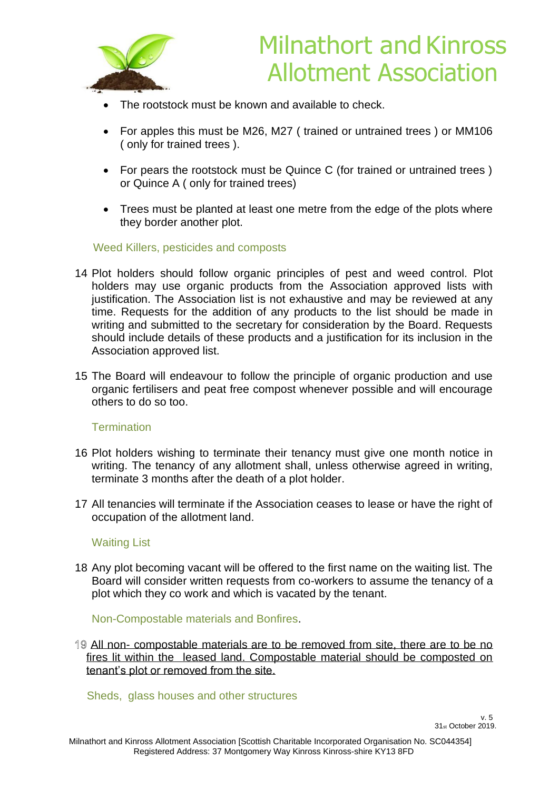

- The rootstock must be known and available to check.
- For apples this must be M26, M27 ( trained or untrained trees ) or MM106 ( only for trained trees ).
- For pears the rootstock must be Quince C (for trained or untrained trees) or Quince A ( only for trained trees)
- Trees must be planted at least one metre from the edge of the plots where they border another plot.

#### Weed Killers, pesticides and composts

- 14 Plot holders should follow organic principles of pest and weed control. Plot holders may use organic products from the Association approved lists with justification. The Association list is not exhaustive and may be reviewed at any time. Requests for the addition of any products to the list should be made in writing and submitted to the secretary for consideration by the Board. Requests should include details of these products and a justification for its inclusion in the Association approved list.
- 15 The Board will endeavour to follow the principle of organic production and use organic fertilisers and peat free compost whenever possible and will encourage others to do so too.

#### **Termination**

- 16 Plot holders wishing to terminate their tenancy must give one month notice in writing. The tenancy of any allotment shall, unless otherwise agreed in writing, terminate 3 months after the death of a plot holder.
- 17 All tenancies will terminate if the Association ceases to lease or have the right of occupation of the allotment land.

#### Waiting List

18 Any plot becoming vacant will be offered to the first name on the waiting list. The Board will consider written requests from co-workers to assume the tenancy of a plot which they co work and which is vacated by the tenant.

#### Non-Compostable materials and Bonfires.

All non- compostable materials are to be removed from site, there are to be no fires lit within the leased land. Compostable material should be composted on tenant's plot or removed from the site.

Sheds, glass houses and other structures